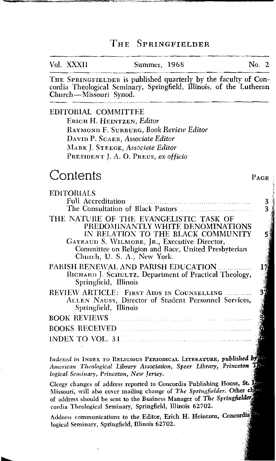#### THE SPRINGFIELDER

| Vol. XXXII | Summer, 1968 | $\mathrm{No.}$ 2 |  |
|------------|--------------|------------------|--|
|            |              |                  |  |

THE SPRINGFIELDER is published quarterly by the faculty of Con-Church-Missouri Synod. cordia Theological Seminary, Springfield, Illinois, of the Lutheran

PAGE

### EDITORIAL COMMITTEE

ERICH H. HEINTZEN, Editor RAY~IOND F. SURBURG, Book *Review* Editor DAVID P. SCAER, Associate Editor MARK J. STEEGE, Associate Editor PRESIDENT J. A. O. PREUS, ex officio

## Contents

| <b>EDITORIALS</b>                                                                                                                                                                                                                                       |   |
|---------------------------------------------------------------------------------------------------------------------------------------------------------------------------------------------------------------------------------------------------------|---|
| Full Accreditation Manual Manual Manual Manual Manual Manual Manual Manual Manual Manual Manual Manual Manual                                                                                                                                           | 3 |
|                                                                                                                                                                                                                                                         |   |
| THE NATURE OF THE EVANGELISTIC TASK OF<br>PREDOMINANTLY WHITE DENOMINATIONS<br>IN RELATION TO THE BLACK COMMUNITY<br>GAYRAUD S. WILMORE, JR., Executive Director,<br>Committee on Religion and Race, United Presbyterian<br>Church, U. S. A., New York. |   |
| PARISH RENEWAL AND PARISH EDUCATION<br>RICHARD J. SCHULTZ, Department of Practical Theology,<br>Springfield, Illinois                                                                                                                                   |   |
| <b>REVIEW ABTICLE: FIRST AIDS IN COUNSELLING </b><br>ALLEN NAUSS, Director of Student Personnel Services,<br>Springfield, Illinois                                                                                                                      |   |
|                                                                                                                                                                                                                                                         |   |
| BOOKS RECEIVED <b>Example 2008</b> RECEIVED                                                                                                                                                                                                             |   |
|                                                                                                                                                                                                                                                         |   |
|                                                                                                                                                                                                                                                         |   |

*Indexed in INDEX TO RELIGIOUS PERIODICAL LITERATURE, published by the literature of the line of the line of the line of the line of the line of the line of the line of the line of the line of the line of the line of the l American Theological Library Association, Speer Library, Princeton Theological Library logical Seminary, Princeton, New Jersey.* 

Clergy changes of address reported to Concordia Publishing House, St. 13 Missouri, will also cover mailing change of *The Springfielder*. Other change of address should be sent to the Business Manager of *The Springfielder* **cordia Theological Seminary, Springfield, Illinois 62702.** 

Address communications to the Editor, Erich H. Heintzen, Concordia **logical Seminary, Springfield, Illinois 62702.**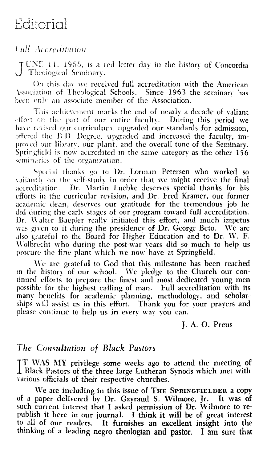# Editorial

### *Full Acereditation*

J UNE 11, 1968, is a red letter day in the history of Concordia<br>Theological Seminary.

On this day we received full accreditation with the American Association of Theological Schools. Since 1963 the seminary has been only an associate member of the Association.

This achievement marks the end of nearly a decade of valiant effort on the part of our entire faculty. During this period we have revised our curriculum, upgraded our standards for admission, offered the B.D. Degree, upgraded and increased the faculty, improved our library, our plant, and the overall tone of the Seminary. Springfield is now accredited in the same category as the other  $156$ seminaries of the organization.

Special thanks go to Dr. Lorman Petersen who worked so valiantly on the self-study in order that we might receive the final Dr. Martin Lucbke deserves special thanks for his accreditation. efforts in the curricular revision, and Dr. Fred Kramer, our former academic dean, deserves our gratitude for the tremendous job he did during the early stages of our program toward full accreditation. Dr. Walter Baepler really initiated this effort, and much impetus was given to it during the presidency of Dr. George Beto. We are also grateful to the Board for Higher Education and to Dr. W. F. Wolbrecht who during the post-war vears did so much to help us procure the fine plant which we now have at Springfield.

We are grateful to God that this milestone has been reached in the history of our school. We pledge to the Church our continued efforts to prepare the finest and most dedicated voung men possible for the highest calling of man. Full accreditation with its many benefits for academic planning, methodology, and scholarships will assist us in this effort. Thank you for your prayers and please continue to help us in every way you can.

I. A. O. Preus

### The Consultation of Black Pastors

TT WAS MY privilege some weeks ago to attend the meeting of Black Pastors of the three large Lutheran Synods which met with various officials of their respective churches.

We are including in this issue of THE SPRINGFIELDER a copy of a paper delivered by Dr. Gayraud S. Wilmore, Jr. It was of such current interest that I asked permission of Dr. Wilmore to republish it here in our journal. I think it will be of great interest to all of our readers. It furnishes an excellent insight into the thinking of a leading negro theologian and pastor. I am sure that